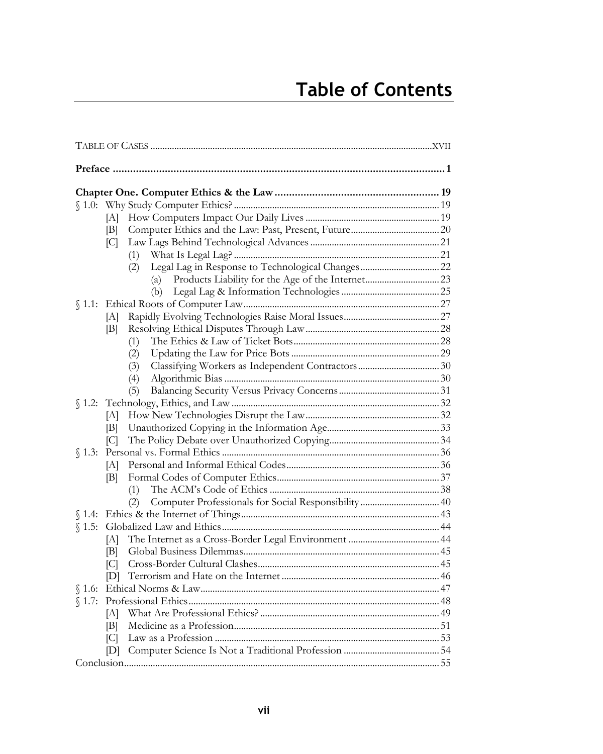## **Table of Contents**

|        | [A]                 |     |  |
|--------|---------------------|-----|--|
|        | B                   |     |  |
|        | C                   |     |  |
|        |                     | (1) |  |
|        |                     | (2) |  |
|        |                     | (a) |  |
|        |                     | (b) |  |
|        |                     |     |  |
|        | [A]                 |     |  |
|        | B                   |     |  |
|        |                     | (1) |  |
|        |                     | (2) |  |
|        |                     | (3) |  |
|        |                     | (4) |  |
|        |                     | (5) |  |
|        |                     |     |  |
|        | [A]                 |     |  |
|        | B                   |     |  |
|        | $\lbrack C \rbrack$ |     |  |
| \$1.3: |                     |     |  |
|        | [A]                 |     |  |
|        | Βl                  |     |  |
|        |                     | (1) |  |
|        |                     | (2) |  |
|        |                     |     |  |
|        |                     |     |  |
|        | ſАl                 |     |  |
|        | IBI.                |     |  |
|        | C                   |     |  |
|        |                     |     |  |
|        |                     |     |  |
| \$1.7: |                     |     |  |
|        | ſАl                 |     |  |
|        | B                   |     |  |
|        | C                   |     |  |
|        | $\mathbb{D}$        |     |  |
|        |                     |     |  |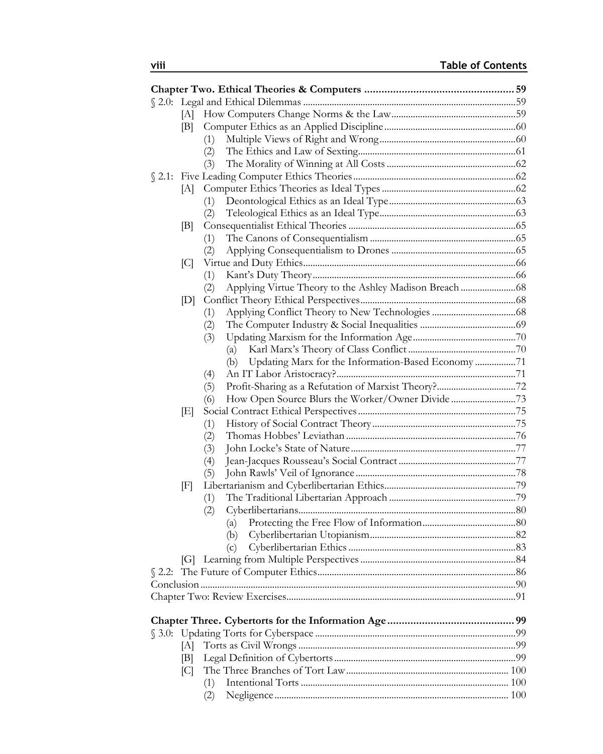|          | [A] |                                                           |  |
|----------|-----|-----------------------------------------------------------|--|
|          | [B] |                                                           |  |
|          |     | (1)                                                       |  |
|          |     | (2)                                                       |  |
|          |     | (3)                                                       |  |
|          |     |                                                           |  |
|          |     |                                                           |  |
|          |     | (1)                                                       |  |
|          |     | (2)                                                       |  |
|          | B   |                                                           |  |
|          |     | (1)                                                       |  |
|          |     | (2)                                                       |  |
|          | C   |                                                           |  |
|          |     | (1)                                                       |  |
|          |     | (2)                                                       |  |
|          | [D] |                                                           |  |
|          |     | (1)                                                       |  |
|          |     | (2)                                                       |  |
|          |     | (3)                                                       |  |
|          |     | (a)                                                       |  |
|          |     | Updating Marx for the Information-Based Economy 71<br>(b) |  |
|          |     | (4)                                                       |  |
|          |     | (5)                                                       |  |
|          |     | How Open Source Blurs the Worker/Owner Divide 73<br>(6)   |  |
|          | E   |                                                           |  |
|          |     | (1)                                                       |  |
|          |     | (2)                                                       |  |
|          |     | (3)                                                       |  |
|          |     | (4)                                                       |  |
|          |     | (5)                                                       |  |
|          | F   |                                                           |  |
|          |     | (1)                                                       |  |
|          |     | (2)                                                       |  |
|          |     | (a)                                                       |  |
|          |     | (b)                                                       |  |
|          |     | (c)                                                       |  |
|          |     |                                                           |  |
| $$2.2$ : |     |                                                           |  |
|          |     |                                                           |  |
|          |     |                                                           |  |
|          |     |                                                           |  |
|          |     |                                                           |  |
|          | [A] |                                                           |  |
|          | IЫ  |                                                           |  |
|          | C   |                                                           |  |
|          |     | (1)                                                       |  |
|          |     | (2)                                                       |  |
|          |     |                                                           |  |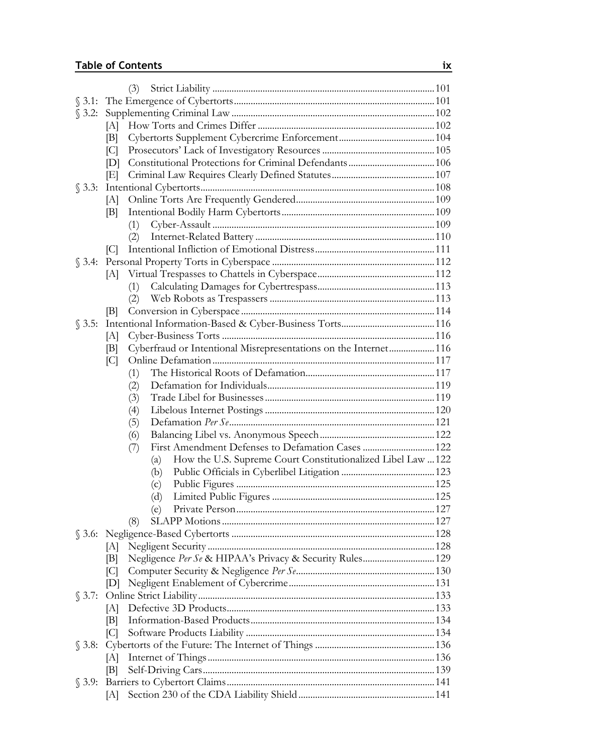## **Table of Contents ix**

| (3)                                                                   |  |
|-----------------------------------------------------------------------|--|
|                                                                       |  |
|                                                                       |  |
| [A]                                                                   |  |
| [B]                                                                   |  |
| C                                                                     |  |
| [D]                                                                   |  |
| E                                                                     |  |
|                                                                       |  |
| [A]                                                                   |  |
| B                                                                     |  |
| (1)                                                                   |  |
| (2)                                                                   |  |
| C                                                                     |  |
|                                                                       |  |
| [A]                                                                   |  |
| (1)                                                                   |  |
| (2)                                                                   |  |
| B                                                                     |  |
|                                                                       |  |
| [A]                                                                   |  |
| Cyberfraud or Intentional Misrepresentations on the Internet116<br> B |  |
| C                                                                     |  |
| (1)                                                                   |  |
| (2)                                                                   |  |
| (3)                                                                   |  |
| (4)<br>(5)                                                            |  |
| (6)                                                                   |  |
| First Amendment Defenses to Defamation Cases  122<br>(7)              |  |
| How the U.S. Supreme Court Constitutionalized Libel Law  122<br>(a)   |  |
| (b)                                                                   |  |
| (c)                                                                   |  |
| (d)                                                                   |  |
| (e)                                                                   |  |
| (8)                                                                   |  |
|                                                                       |  |
|                                                                       |  |
| $ {\rm B} $                                                           |  |
| C                                                                     |  |
| [D]                                                                   |  |
|                                                                       |  |
| [A]                                                                   |  |
| B                                                                     |  |
| C                                                                     |  |
|                                                                       |  |
| [A]                                                                   |  |
| B                                                                     |  |
|                                                                       |  |
| ſА]                                                                   |  |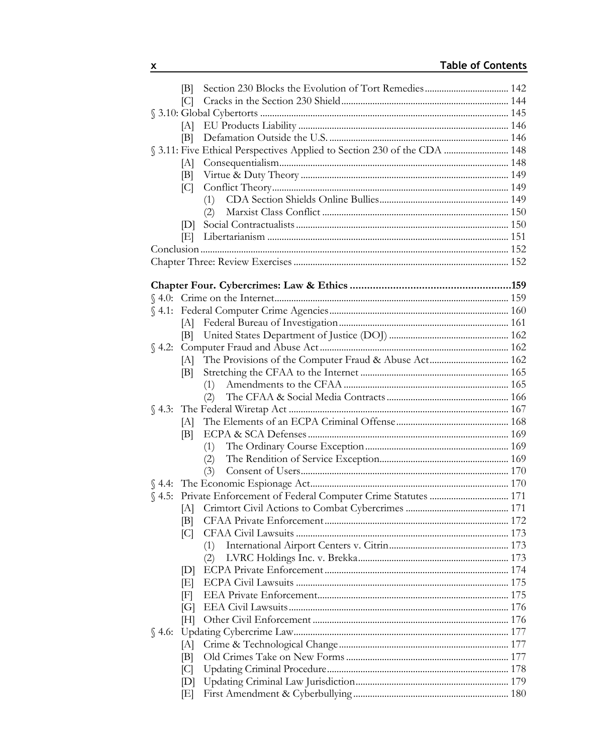| B    |                                                                          |  |
|------|--------------------------------------------------------------------------|--|
| C    |                                                                          |  |
|      |                                                                          |  |
| [A]  |                                                                          |  |
| IBI. |                                                                          |  |
|      | § 3.11: Five Ethical Perspectives Applied to Section 230 of the CDA  148 |  |
| [A]  |                                                                          |  |
| [B]  |                                                                          |  |
| C    |                                                                          |  |
|      |                                                                          |  |
| D    | (2)                                                                      |  |
|      |                                                                          |  |
|      |                                                                          |  |
|      |                                                                          |  |
|      |                                                                          |  |
|      |                                                                          |  |
|      |                                                                          |  |
|      |                                                                          |  |
| [A]  |                                                                          |  |
| [B]  |                                                                          |  |
|      |                                                                          |  |
| [A]  |                                                                          |  |
| B    |                                                                          |  |
|      | (1)                                                                      |  |
|      | (2)                                                                      |  |
| [A]  |                                                                          |  |
| B    |                                                                          |  |
|      | (1)                                                                      |  |
|      | (2)                                                                      |  |
|      | (3)                                                                      |  |
|      |                                                                          |  |
|      |                                                                          |  |
| [A]  |                                                                          |  |
| B    |                                                                          |  |
| C    |                                                                          |  |
|      | (1)                                                                      |  |
|      | (2)                                                                      |  |
| [D]  |                                                                          |  |
| ΙEΙ  |                                                                          |  |
| F    |                                                                          |  |
| [G]  |                                                                          |  |
| [H]  |                                                                          |  |
| [A]  |                                                                          |  |
| B    |                                                                          |  |
| C    |                                                                          |  |
| [D]  |                                                                          |  |
| ΙEΙ  |                                                                          |  |
|      |                                                                          |  |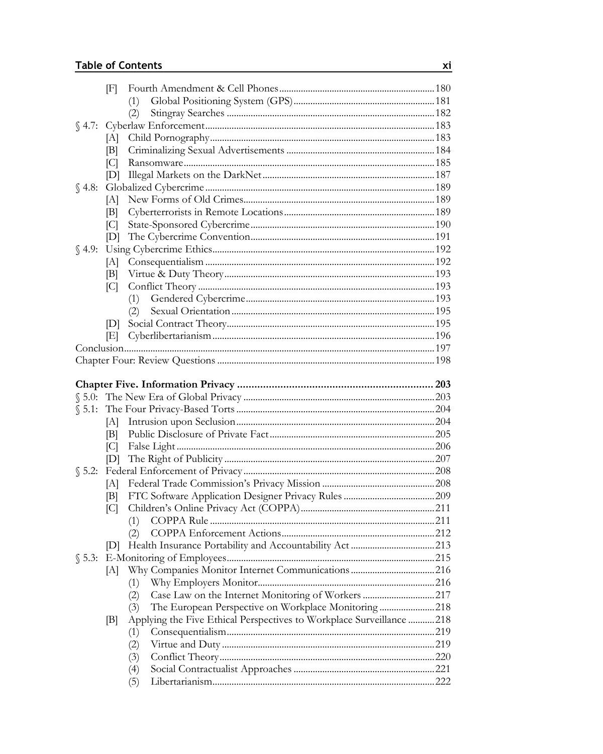| F            |                                                                      |  |
|--------------|----------------------------------------------------------------------|--|
|              | (1)                                                                  |  |
|              | (2)                                                                  |  |
|              |                                                                      |  |
| [A]          |                                                                      |  |
| B            |                                                                      |  |
| C            |                                                                      |  |
| [D]          |                                                                      |  |
|              |                                                                      |  |
| [A]          |                                                                      |  |
| B            |                                                                      |  |
| C            |                                                                      |  |
| [D]          |                                                                      |  |
|              |                                                                      |  |
| [A]          |                                                                      |  |
| B            |                                                                      |  |
| C            |                                                                      |  |
|              | (1)                                                                  |  |
|              | (2)                                                                  |  |
| [D]          |                                                                      |  |
| [E]          |                                                                      |  |
|              |                                                                      |  |
|              |                                                                      |  |
|              |                                                                      |  |
|              |                                                                      |  |
|              |                                                                      |  |
|              |                                                                      |  |
| [A]          |                                                                      |  |
| IВI          |                                                                      |  |
| C            |                                                                      |  |
| [D]          |                                                                      |  |
|              |                                                                      |  |
| [A]          |                                                                      |  |
| B            |                                                                      |  |
| C            |                                                                      |  |
|              |                                                                      |  |
|              | (2)                                                                  |  |
| $\mathbb{D}$ |                                                                      |  |
|              |                                                                      |  |
| [A]          |                                                                      |  |
|              | (1)                                                                  |  |
|              | Case Law on the Internet Monitoring of Workers 217<br>(2)            |  |
|              | The European Perspective on Workplace Monitoring218<br>(3)           |  |
| [B]          | Applying the Five Ethical Perspectives to Workplace Surveillance 218 |  |
|              | (1)                                                                  |  |
|              | (2)                                                                  |  |
|              | (3)                                                                  |  |
|              | (4)                                                                  |  |
|              | (5)                                                                  |  |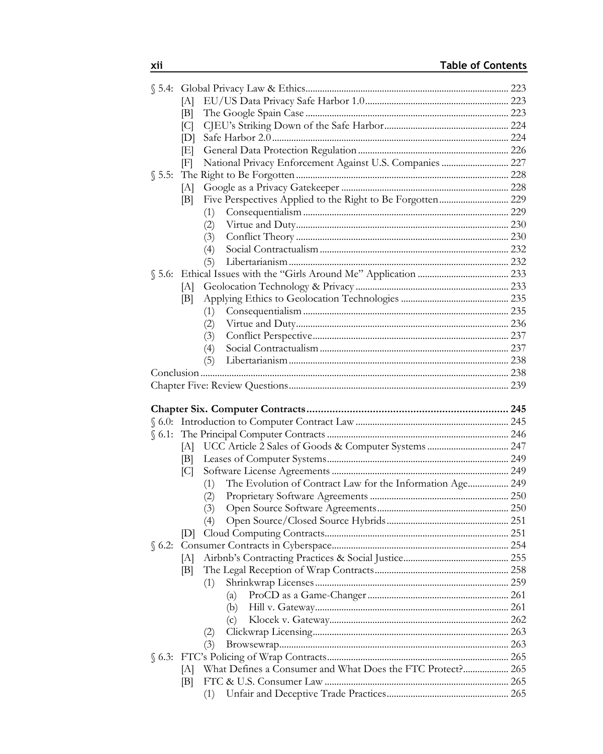|        | [A]                                                              |  |
|--------|------------------------------------------------------------------|--|
|        | B                                                                |  |
|        | C                                                                |  |
|        | [D]                                                              |  |
|        | ΙEΙ                                                              |  |
|        | National Privacy Enforcement Against U.S. Companies  227<br>F    |  |
| \$5.5: |                                                                  |  |
|        | [A]                                                              |  |
|        | B                                                                |  |
|        | (1)                                                              |  |
|        | (2)                                                              |  |
|        | (3)                                                              |  |
|        | (4)                                                              |  |
|        | (5)                                                              |  |
|        |                                                                  |  |
|        | [A]                                                              |  |
|        | [B]                                                              |  |
|        | (1)                                                              |  |
|        | (2)                                                              |  |
|        | (3)                                                              |  |
|        | (4)                                                              |  |
|        | (5)                                                              |  |
|        |                                                                  |  |
|        |                                                                  |  |
|        |                                                                  |  |
|        |                                                                  |  |
|        |                                                                  |  |
|        |                                                                  |  |
|        |                                                                  |  |
|        | [A]                                                              |  |
|        | B                                                                |  |
|        | C                                                                |  |
|        | The Evolution of Contract Law for the Information Age 249<br>(1) |  |
|        | (2)                                                              |  |
|        | (3)                                                              |  |
|        | (4)                                                              |  |
|        | IDI.                                                             |  |
|        |                                                                  |  |
|        | [A]                                                              |  |
|        | B                                                                |  |
|        | (1)                                                              |  |
|        | (a)                                                              |  |
|        | (b)                                                              |  |
|        | (c)                                                              |  |
|        | (2)                                                              |  |
|        | (3)                                                              |  |
|        |                                                                  |  |
|        | What Defines a Consumer and What Does the FTC Protect? 265<br> A |  |
|        | B <br>(1)                                                        |  |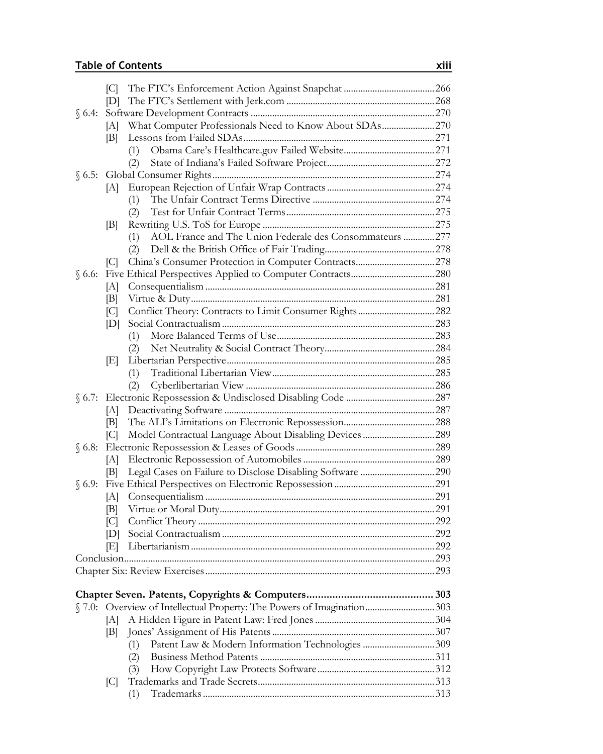|                | C            |                                                                       |  |
|----------------|--------------|-----------------------------------------------------------------------|--|
|                | [D]          |                                                                       |  |
| $\S$ 6.4:      |              |                                                                       |  |
|                | [A]          | What Computer Professionals Need to Know About SDAs270                |  |
|                | B            |                                                                       |  |
|                |              | (1)                                                                   |  |
|                |              | (2)                                                                   |  |
|                |              |                                                                       |  |
|                | [A]          |                                                                       |  |
|                |              | (1)                                                                   |  |
|                |              | (2)                                                                   |  |
|                | B            |                                                                       |  |
|                |              | AOL France and The Union Federale des Consommateurs  277<br>(1)       |  |
|                |              | (2)                                                                   |  |
|                | C            |                                                                       |  |
|                |              |                                                                       |  |
|                | [A]          |                                                                       |  |
|                | B            |                                                                       |  |
|                | C            |                                                                       |  |
|                | [D]          |                                                                       |  |
|                |              | (1)                                                                   |  |
|                |              | (2)                                                                   |  |
|                | ΙEΙ          |                                                                       |  |
|                |              | (1)                                                                   |  |
|                |              | (2)                                                                   |  |
|                |              |                                                                       |  |
|                | [A]          |                                                                       |  |
|                | IBL.         |                                                                       |  |
|                | C            |                                                                       |  |
| $\sqrt{6.8}$ : |              |                                                                       |  |
|                | [A]<br>[B]   |                                                                       |  |
| $\S$ 6.9:      |              |                                                                       |  |
|                | A            |                                                                       |  |
|                | [B]          |                                                                       |  |
|                | C            |                                                                       |  |
|                | $\mathbb{D}$ |                                                                       |  |
|                | ΙEΙ          |                                                                       |  |
|                |              |                                                                       |  |
|                |              |                                                                       |  |
|                |              |                                                                       |  |
|                |              |                                                                       |  |
|                |              | §7.0: Overview of Intellectual Property: The Powers of Imagination303 |  |
|                | [A]          |                                                                       |  |
|                | [B]          |                                                                       |  |
|                |              | (1)                                                                   |  |
|                |              | (2)                                                                   |  |
|                |              | (3)                                                                   |  |
|                | $\lbrack$ C  |                                                                       |  |
|                |              | (1)                                                                   |  |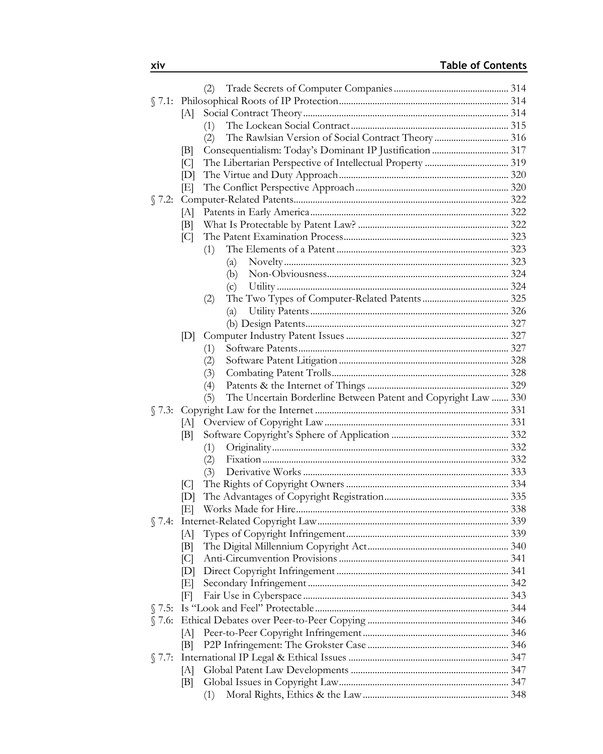|                |     | (2)                                                                   |  |
|----------------|-----|-----------------------------------------------------------------------|--|
|                |     |                                                                       |  |
|                | [A] |                                                                       |  |
|                |     | (1)                                                                   |  |
|                |     | The Rawlsian Version of Social Contract Theory  316<br>(2)            |  |
|                | B   |                                                                       |  |
|                | C   |                                                                       |  |
|                | [D] |                                                                       |  |
|                | ΙEΙ |                                                                       |  |
| \$7.2:         |     |                                                                       |  |
|                | [A] |                                                                       |  |
|                | B   |                                                                       |  |
|                | C   |                                                                       |  |
|                |     | (1)                                                                   |  |
|                |     | (a)                                                                   |  |
|                |     | (b)                                                                   |  |
|                |     | (c)                                                                   |  |
|                |     | (2)                                                                   |  |
|                |     | (a)                                                                   |  |
|                |     |                                                                       |  |
|                | [D] |                                                                       |  |
|                |     | (1)                                                                   |  |
|                |     | (2)                                                                   |  |
|                |     | (3)                                                                   |  |
|                |     | (4)                                                                   |  |
|                |     | The Uncertain Borderline Between Patent and Copyright Law  330<br>(5) |  |
|                |     |                                                                       |  |
|                |     |                                                                       |  |
|                | B   |                                                                       |  |
|                |     | (1)                                                                   |  |
|                |     | (2)                                                                   |  |
|                |     | (3)                                                                   |  |
|                | C   |                                                                       |  |
|                | [D] |                                                                       |  |
|                | ΙEΙ |                                                                       |  |
|                |     |                                                                       |  |
|                | ſА] |                                                                       |  |
|                | B   |                                                                       |  |
|                | C   |                                                                       |  |
|                | [D] |                                                                       |  |
|                | ΙEΙ |                                                                       |  |
|                | F   |                                                                       |  |
| \$7.5:         |     |                                                                       |  |
|                |     |                                                                       |  |
|                | IАI |                                                                       |  |
|                | B   |                                                                       |  |
| $\sqrt{7.7}$ : |     |                                                                       |  |
|                | A   |                                                                       |  |
|                | B   |                                                                       |  |
|                |     | (1)                                                                   |  |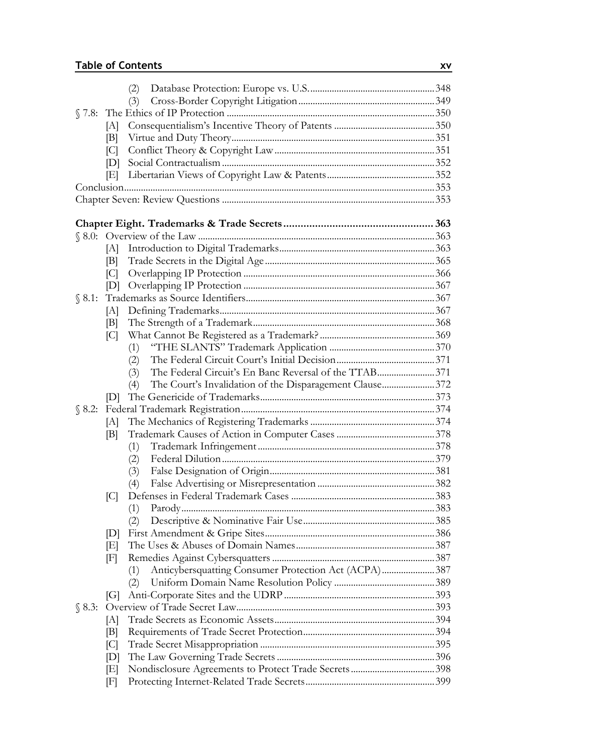|          |          | (2)                                                            |  |
|----------|----------|----------------------------------------------------------------|--|
|          |          | (3)                                                            |  |
|          |          |                                                                |  |
|          | [A]      |                                                                |  |
|          | B        |                                                                |  |
|          | [C]      |                                                                |  |
|          | D        |                                                                |  |
|          | ΙEΙ      |                                                                |  |
|          |          |                                                                |  |
|          |          |                                                                |  |
|          |          |                                                                |  |
|          |          |                                                                |  |
|          |          |                                                                |  |
|          | [A]      |                                                                |  |
|          | B <br> C |                                                                |  |
|          | [D]      |                                                                |  |
|          |          |                                                                |  |
|          | [A]      |                                                                |  |
|          | B        |                                                                |  |
|          | C        |                                                                |  |
|          |          | (1)                                                            |  |
|          |          | (2)                                                            |  |
|          |          | The Federal Circuit's En Banc Reversal of the TTAB371<br>(3)   |  |
|          |          | The Court's Invalidation of the Disparagement Clause372<br>(4) |  |
|          | D        |                                                                |  |
| $$8.2$ : |          |                                                                |  |
|          | [A]      |                                                                |  |
|          | B        |                                                                |  |
|          |          | (1)                                                            |  |
|          |          | (2)                                                            |  |
|          |          | (3)                                                            |  |
|          |          | (4)                                                            |  |
|          | C        |                                                                |  |
|          |          | (1)                                                            |  |
|          |          | (2)                                                            |  |
|          | D        |                                                                |  |
|          | EF       |                                                                |  |
|          | F        |                                                                |  |
|          |          | Anticybersquatting Consumer Protection Act (ACPA)387<br>(1)    |  |
|          |          | (2)                                                            |  |
|          | [G]      |                                                                |  |
|          |          |                                                                |  |
|          | [A]      |                                                                |  |
|          | B        |                                                                |  |
|          | [C]      |                                                                |  |
|          | [D]      |                                                                |  |
|          | [E]      |                                                                |  |
|          | F        |                                                                |  |